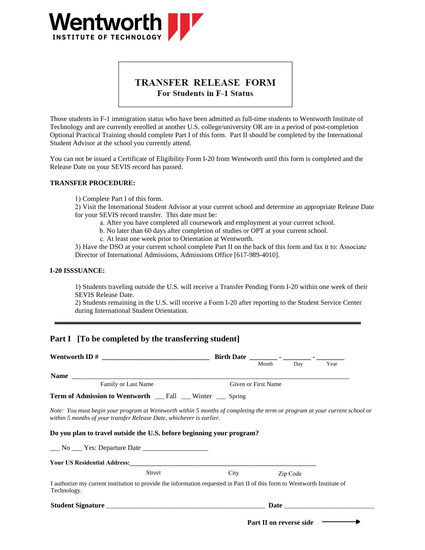

# TRANSFER RELEASE FORM For Students in F-1 Status

Those students in F-1 immigration status who have been admitted as full-time students to Wentworth Institute of Technology and are currently enrolled at another U.S. college/university OR are in a period of post-completion Optional Practical Training should complete Part I of this form. Part II should be completed by the International Student Advisor at the school you currently attend.

You can not be issued a Certificate of Eligibility Form I-20 from Wentworth until this form is completed and the Release Date on your SEVIS record has passed.

### **TRANSFER PROCEDURE:**

1) Complete Part I of this form.

2) Visit the International Student Advisor at your current school and determine an appropriate Release Date for your SEVIS record transfer. This date must be:

- a. After you have completed all coursework and employment at your current school.
- b. No later than 60 days after completion of studies or OPT at your current school.
- c. At least one week prior to Orientation at Wentworth.

3) Have the DSO at your current school complete Part II on the back of this form and fax it to: Associate Director of International Admissions, Admissions Office [617-989-4010].

#### **I-20 ISSSUANCE:**

1) Students traveling outside the U.S. will receive a Transfer Pending Form I-20 within one week of their SEVIS Release Date.

2) Students remaining in the U.S. will receive a Form I-20 after reporting to the Student Service Center during International Student Orientation.

### **Part I [To be completed by the transferring student]**

|                                                                                                                                                                                                    |                     | Month | Day      | Year |  |
|----------------------------------------------------------------------------------------------------------------------------------------------------------------------------------------------------|---------------------|-------|----------|------|--|
|                                                                                                                                                                                                    |                     |       |          |      |  |
| Family or Last Name                                                                                                                                                                                | Given or First Name |       |          |      |  |
| <b>Term of Admission to Wentworth</b> __ Fall __ Winter __ Spring                                                                                                                                  |                     |       |          |      |  |
| Note: You must begin your program at Wentworth within 5 months of completing the term or program at your current school or<br>within 5 months of your transfer Release Date, whichever is earlier. |                     |       |          |      |  |
| Do you plan to travel outside the U.S. before beginning your program?                                                                                                                              |                     |       |          |      |  |
| No Yes: Departure Date                                                                                                                                                                             |                     |       |          |      |  |
|                                                                                                                                                                                                    |                     |       |          |      |  |
| <b>Street</b>                                                                                                                                                                                      | City                |       | Zip Code |      |  |
| I authorize my current institution to provide the information requested in Part II of this form to Wentworth Institute of<br>Technology.                                                           |                     |       |          |      |  |
|                                                                                                                                                                                                    |                     |       |          |      |  |
|                                                                                                                                                                                                    |                     |       |          |      |  |

**Part II on reverse side**